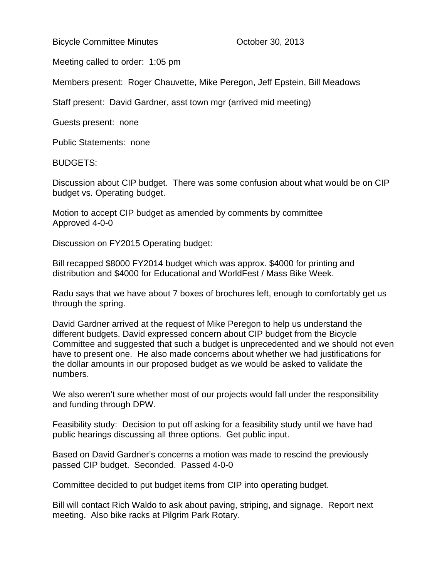Bicycle Committee Minutes **Committee Minutes Committee Minutes Committee Minutes Constant** 

Meeting called to order: 1:05 pm

Members present: Roger Chauvette, Mike Peregon, Jeff Epstein, Bill Meadows

Staff present: David Gardner, asst town mgr (arrived mid meeting)

Guests present: none

Public Statements: none

BUDGETS:

Discussion about CIP budget. There was some confusion about what would be on CIP budget vs. Operating budget.

Motion to accept CIP budget as amended by comments by committee Approved 4-0-0

Discussion on FY2015 Operating budget:

Bill recapped \$8000 FY2014 budget which was approx. \$4000 for printing and distribution and \$4000 for Educational and WorldFest / Mass Bike Week.

Radu says that we have about 7 boxes of brochures left, enough to comfortably get us through the spring.

David Gardner arrived at the request of Mike Peregon to help us understand the different budgets. David expressed concern about CIP budget from the Bicycle Committee and suggested that such a budget is unprecedented and we should not even have to present one. He also made concerns about whether we had justifications for the dollar amounts in our proposed budget as we would be asked to validate the numbers.

We also weren't sure whether most of our projects would fall under the responsibility and funding through DPW.

Feasibility study: Decision to put off asking for a feasibility study until we have had public hearings discussing all three options. Get public input.

Based on David Gardner's concerns a motion was made to rescind the previously passed CIP budget. Seconded. Passed 4-0-0

Committee decided to put budget items from CIP into operating budget.

Bill will contact Rich Waldo to ask about paving, striping, and signage. Report next meeting. Also bike racks at Pilgrim Park Rotary.